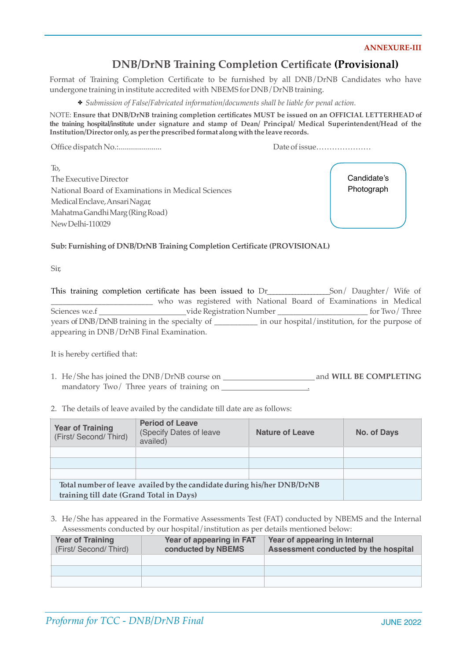#### **ANNEXURE-III**

## **DNB/DrNB Training Completion Certificate (Provisional)**

Format of Training Completion Certificate to be furnished by all DNB/DrNB Candidates who have undergone training in institute accredited with NBEMS for DNB/DrNB training.

✤ *Submission of False/Fabricated information/documents shall be liable for penal action.*

NOTE: **Ensure that DNB/DrNB training completion certificates MUST be issued on an OFFICIAL LETTERHEAD of the training hospital/institute under signature and stamp of Dean/ Principal/ Medical Superintendent/Head of the Institution/Director only, as perthe prescribed format along with the leave records.**

Office dispatch No.:...................... Date ofissue…………………

To, The Executive Director National Board of Examinations in Medical Sciences MedicalEnclave,AnsariNagar, MahatmaGandhiMarg(RingRoad) NewDelhi-110029

Candidate's Photograph

**Sub: Furnishing of DNB/DrNB Training Completion Certificate (PROVISIONAL)**

Sir,

This training completion certificate has been issued to Dr\_\_\_\_\_\_\_\_\_\_\_\_\_\_Son/ Daughter/ Wife of \_\_\_\_\_\_\_\_\_\_\_\_\_\_\_\_\_\_\_\_\_\_\_\_\_\_ who was registered with National Board of Examinations in Medical Sciences w.e.f vide Registration Number \_\_\_\_\_\_\_\_\_\_\_\_\_\_\_\_\_\_\_\_\_\_\_ for Two/ Three years of DNB/DrNB training in the specialty of \_\_\_\_\_\_\_\_\_\_\_ in our hospital/institution, for the purpose of appearing in DNB/DrNB Final Examination.

It is hereby certified that:

- 1. He/She has joined the DNB/DrNB course on and **WILL BE COMPLETING**  mandatory Two/ Three years of training on
- 2. The details of leave availed by the candidate till date are as follows:

| <b>Year of Training</b><br>(First/ Second/ Third) | <b>Period of Leave</b><br>(Specify Dates of leave<br>availed)          | <b>Nature of Leave</b> | No. of Days |
|---------------------------------------------------|------------------------------------------------------------------------|------------------------|-------------|
|                                                   |                                                                        |                        |             |
|                                                   |                                                                        |                        |             |
|                                                   |                                                                        |                        |             |
|                                                   | Total number of leave availed by the candidate during his/her DNB/DrNB |                        |             |
| training till date (Grand Total in Days)          |                                                                        |                        |             |

| <b>Year of Training</b><br>(First/ Second/ Third) | Year of appearing in FAT<br>conducted by NBEMS | Year of appearing in Internal<br>Assessment conducted by the hospital |
|---------------------------------------------------|------------------------------------------------|-----------------------------------------------------------------------|
|                                                   |                                                |                                                                       |
|                                                   |                                                |                                                                       |
|                                                   |                                                |                                                                       |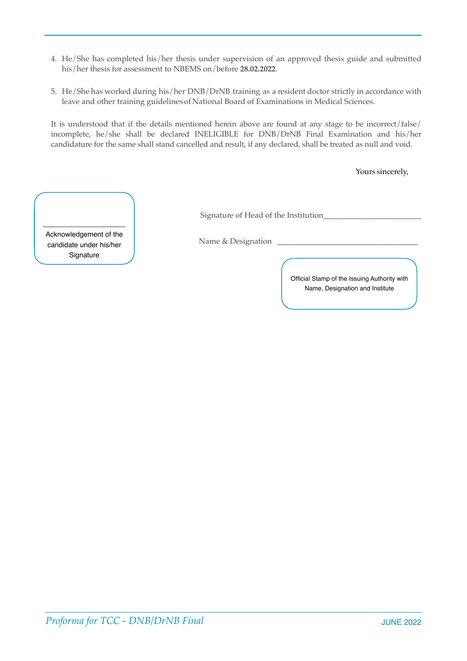- 4. He/She has completed his/her thesis under supervision of an approved thesis guide and submitted his/her thesis for assessment to NBEMS on/before **28.02.2022**.
- 5. He/She has worked during his/her DNB/DrNB training as a resident doctor strictly in accordance with leave and other training guidelines of National Board of Examinations in Medical Sciences.

It is understood that if the details mentioned herein above are found at any stage to be incorrect/false/ incomplete, he/she shall be declared INELIGIBLE for DNB/DrNB Final Examination and his/her candidature for the same shall stand cancelled and result, if any declared, shall be treated as null and void.

Yours sincerely,

| Signature of Head of the Institution |  |
|--------------------------------------|--|
|                                      |  |

Acknowledgement of the candidate under his/her **Signature** 

\_\_\_\_\_\_\_\_\_\_\_\_\_\_\_\_\_\_\_

Name & Designation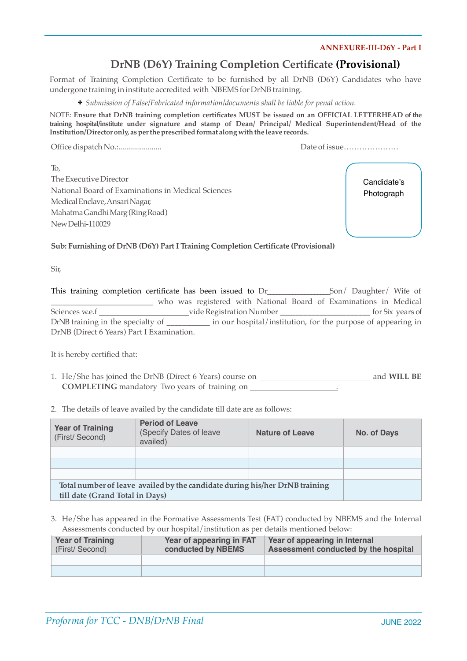### **ANNEXURE-III-D6Y - Part I**

# **DrNB (D6Y) Training Completion Certificate (Provisional)**

Format of Training Completion Certificate to be furnished by all DrNB (D6Y) Candidates who have undergone training in institute accredited with NBEMS for DrNB training.

✤ *Submission of False/Fabricated information/documents shall be liable for penal action.*

NOTE: **Ensure that DrNB training completion certificates MUST be issued on an OFFICIAL LETTERHEAD of the training hospital/institute under signature and stamp of Dean/ Principal/ Medical Superintendent/Head of the Institution/Director only, as perthe prescribed format along with the leave records.**

Office dispatch No.:...................... Date ofissue…………………

To, The Executive Director National Board of Examinations in Medical Sciences MedicalEnclave,AnsariNagar, MahatmaGandhiMarg(RingRoad) NewDelhi-110029

Candidate's Photograph

**Sub: Furnishing of DrNB (D6Y) Part I Training Completion Certificate (Provisional)**

Sir,

This training completion certificate has been issued to Dr\_\_\_\_\_\_\_\_\_\_\_\_\_\_Son/ Daughter/ Wife of \_\_\_\_\_\_\_\_\_\_\_\_\_\_\_\_\_\_\_\_\_\_\_\_\_\_ who was registered with National Board of Examinations in Medical Sciences w.e.f \_\_\_\_\_\_\_\_\_\_\_\_\_\_\_\_\_\_\_\_\_\_\_\_\_\_vide Registration Number \_\_\_\_\_\_\_\_\_\_\_\_\_\_\_\_\_\_\_\_\_\_\_\_\_\_\_\_\_\_\_\_\_ for Six years of DrNB training in the specialty of \_\_\_\_\_\_\_\_\_\_ in our hospital/institution, for the purpose of appearing in DrNB (Direct 6 Years) Part I Examination.

It is hereby certified that:

- 1. He/She has joined the DrNB (Direct 6 Years) course on and **WILL BE COMPLETING** mandatory Two years of training on .
- 2. The details of leave availed by the candidate till date are as follows:

| <b>Year of Training</b><br>(First/Second) | <b>Period of Leave</b><br>(Specify Dates of leave<br>availed)               | <b>Nature of Leave</b> | No. of Days |
|-------------------------------------------|-----------------------------------------------------------------------------|------------------------|-------------|
|                                           |                                                                             |                        |             |
|                                           |                                                                             |                        |             |
|                                           |                                                                             |                        |             |
|                                           | Total number of leave availed by the candidate during his/her DrNB training |                        |             |
| till date (Grand Total in Days)           |                                                                             |                        |             |

| <b>Year of Training</b><br>(First/Second) | Year of appearing in FAT<br>conducted by NBEMS | Year of appearing in Internal<br>Assessment conducted by the hospital |
|-------------------------------------------|------------------------------------------------|-----------------------------------------------------------------------|
|                                           |                                                |                                                                       |
|                                           |                                                |                                                                       |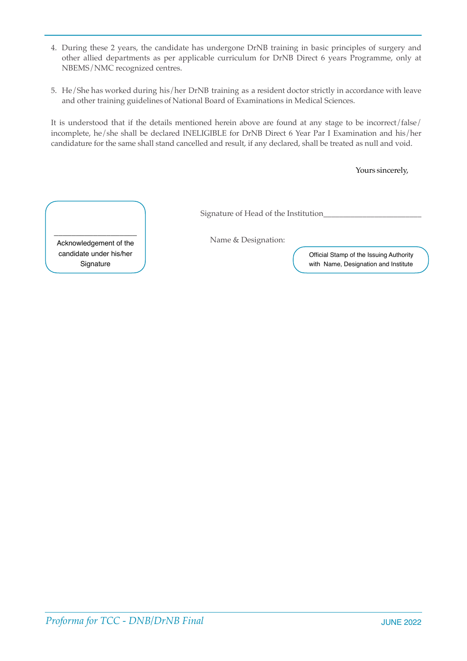- 4. During these 2 years, the candidate has undergone DrNB training in basic principles of surgery and other allied departments as per applicable curriculum for DrNB Direct 6 years Programme, only at NBEMS/NMC recognized centres.
- 5. He/She has worked during his/her DrNB training as a resident doctor strictly in accordance with leave and other training guidelines of National Board of Examinations in Medical Sciences.

It is understood that if the details mentioned herein above are found at any stage to be incorrect/false/ incomplete, he/she shall be declared INELIGIBLE for DrNB Direct 6 Year Par I Examination and his/her candidature for the same shall stand cancelled and result, if any declared, shall be treated as null and void.

Yours sincerely,

Signature of Head of the Institution\_\_\_\_\_\_\_\_\_\_\_\_\_\_\_\_\_\_\_\_\_\_\_\_\_

Name & Designation:

Acknowledgement of the candidate under his/her **Signature** 

\_\_\_\_\_\_\_\_\_\_\_\_\_\_\_\_\_\_\_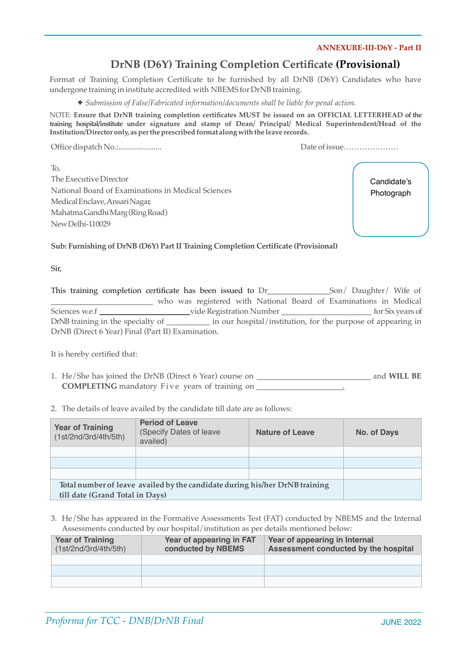### **ANNEXURE-III-D6Y - Part II**

# **DrNB (D6Y) Training Completion Certificate (Provisional)**

Format of Training Completion Certificate to be furnished by all DrNB (D6Y) Candidates who have undergone training in institute accredited with NBEMS for DrNB training.

✤ *Submission of False/Fabricated information/documents shall be liable for penal action.*

NOTE: **Ensure that DrNB training completion certificates MUST be issued on an OFFICIAL LETTERHEAD of the training hospital/institute under signature and stamp of Dean/ Principal/ Medical Superintendent/Head of the Institution/Director only, as perthe prescribed format along with the leave records.**

Office dispatch No.:...................... Date ofissue…………………

To, The Executive Director National Board of Examinations in Medical Sciences MedicalEnclave,AnsariNagar, MahatmaGandhiMarg(RingRoad) NewDelhi-110029

Candidate's Photograph

**Sub: Furnishing of DrNB (D6Y) Part II Training Completion Certificate (Provisional)**

Sir,

|                                   | This training completion certificate has been issued to Dr |                          | Son/ Daughter/ Wife of                                            |                  |
|-----------------------------------|------------------------------------------------------------|--------------------------|-------------------------------------------------------------------|------------------|
|                                   |                                                            |                          | who was registered with National Board of Examinations in Medical |                  |
| Sciences w.e.f                    |                                                            | vide Registration Number |                                                                   | for Six years of |
| DrNB training in the specialty of |                                                            |                          | in our hospital/institution, for the purpose of appearing in      |                  |
|                                   | DrNB (Direct 6 Year) Final (Part II) Examination.          |                          |                                                                   |                  |

It is hereby certified that:

- 1. He/She has joined the DrNB (Direct 6 Year) course on **All Containers and MILL BE COMPLETING** mandatory Five years of training on .
- 2. The details of leave availed by the candidate till date are as follows:

| <b>Year of Training</b><br>(1st/2nd/3rd/4th/5th)                            | <b>Period of Leave</b><br>(Specify Dates of leave<br>availed) | <b>Nature of Leave</b> | No. of Days |
|-----------------------------------------------------------------------------|---------------------------------------------------------------|------------------------|-------------|
|                                                                             |                                                               |                        |             |
|                                                                             |                                                               |                        |             |
|                                                                             |                                                               |                        |             |
| Total number of leave availed by the candidate during his/her DrNB training |                                                               |                        |             |
| till date (Grand Total in Days)                                             |                                                               |                        |             |

| <b>Year of Training</b><br>(1st/2nd/3rd/4th/5th) | Year of appearing in FAT<br>conducted by NBEMS | Year of appearing in Internal<br>Assessment conducted by the hospital |
|--------------------------------------------------|------------------------------------------------|-----------------------------------------------------------------------|
|                                                  |                                                |                                                                       |
|                                                  |                                                |                                                                       |
|                                                  |                                                |                                                                       |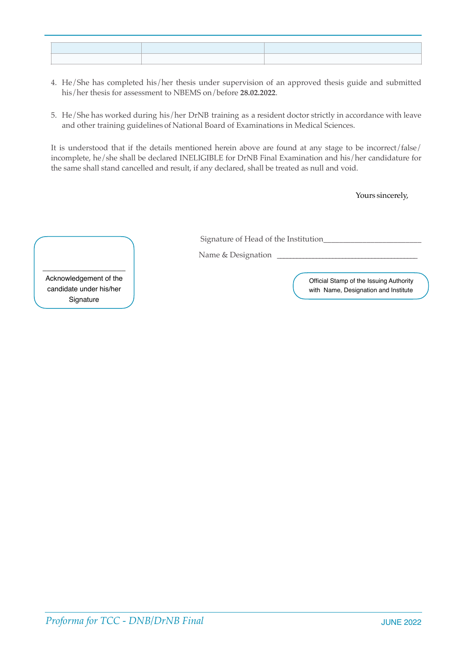- 4. He/She has completed his/her thesis under supervision of an approved thesis guide and submitted his/her thesis for assessment to NBEMS on/before **28.02.2022**.
- 5. He/She has worked during his/her DrNB training as a resident doctor strictly in accordance with leave and other training guidelines of National Board of Examinations in Medical Sciences.

It is understood that if the details mentioned herein above are found at any stage to be incorrect/false/ incomplete, he/she shall be declared INELIGIBLE for DrNB Final Examination and his/her candidature for the same shall stand cancelled and result, if any declared, shall be treated as null and void.

Yours sincerely,

Signature of Head of the Institution\_\_\_\_\_\_\_\_\_\_\_\_\_\_\_\_\_\_\_\_\_\_\_\_\_

Name & Designation \_

\_\_\_\_\_\_\_\_\_\_\_\_\_\_\_\_\_\_\_ Acknowledgement of the candidate under his/her **Signature**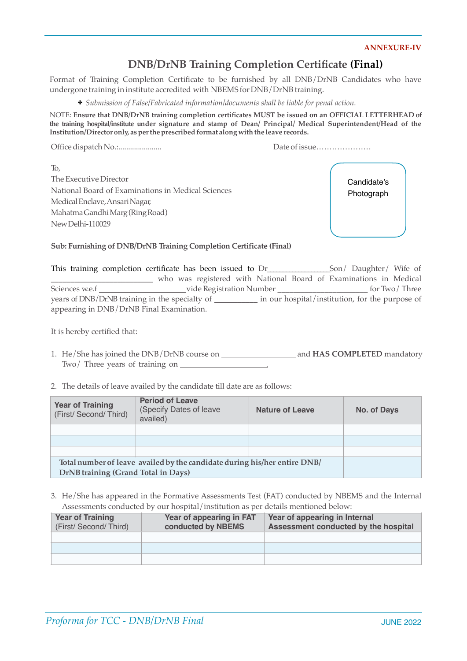#### **ANNEXURE-IV**

## **DNB/DrNB Training Completion Certificate (Final)**

Format of Training Completion Certificate to be furnished by all DNB/DrNB Candidates who have undergone training in institute accredited with NBEMS for DNB/DrNB training.

✤ *Submission of False/Fabricated information/documents shall be liable for penal action.*

NOTE: **Ensure that DNB/DrNB training completion certificates MUST be issued on an OFFICIAL LETTERHEAD of the training hospital/institute under signature and stamp of Dean/ Principal/ Medical Superintendent/Head of the Institution/Director only, as perthe prescribed format along with the leave records.**

Office dispatch No.:...................... Date ofissue…………………

To, The Executive Director National Board of Examinations in Medical Sciences MedicalEnclave,AnsariNagar, MahatmaGandhiMarg(RingRoad) NewDelhi-110029

Candidate's Photograph

**Sub: Furnishing of DNB/DrNB Training Completion Certificate (Final)**

|                | This training completion certificate has been issued to Dr | Son/ Daughter/ Wife of                                            |
|----------------|------------------------------------------------------------|-------------------------------------------------------------------|
|                |                                                            | who was registered with National Board of Examinations in Medical |
| Sciences w.e.f | vide Registration Number                                   | for Two/Three                                                     |
|                | years of DNB/DrNB training in the specialty of             | in our hospital/institution, for the purpose of                   |
|                | appearing in DNB/DrNB Final Examination.                   |                                                                   |

It is hereby certified that:

- 1. He/She has joined the DNB/DrNB course on and **HAS COMPLETED** mandatory Two/ Three years of training on .
- 2. The details of leave availed by the candidate till date are as follows:

| <b>Year of Training</b><br>(First/ Second/ Third)                         | <b>Period of Leave</b><br>(Specify Dates of leave<br>availed) | <b>Nature of Leave</b> | No. of Days |
|---------------------------------------------------------------------------|---------------------------------------------------------------|------------------------|-------------|
|                                                                           |                                                               |                        |             |
|                                                                           |                                                               |                        |             |
|                                                                           |                                                               |                        |             |
| Total number of leave availed by the candidate during his/her entire DNB/ |                                                               |                        |             |
| DrNB training (Grand Total in Days)                                       |                                                               |                        |             |

| <b>Year of Training</b><br>(First/ Second/ Third) | Year of appearing in FAT<br>conducted by NBEMS | Year of appearing in Internal<br>Assessment conducted by the hospital |
|---------------------------------------------------|------------------------------------------------|-----------------------------------------------------------------------|
|                                                   |                                                |                                                                       |
|                                                   |                                                |                                                                       |
|                                                   |                                                |                                                                       |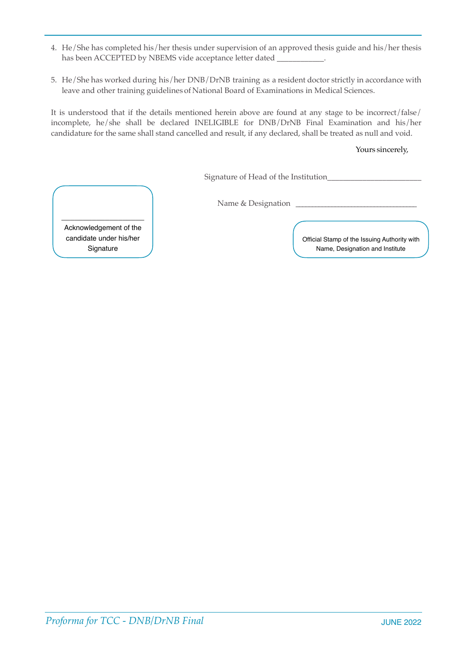- 4. He/She has completed his/her thesis under supervision of an approved thesis guide and his/her thesis has been ACCEPTED by NBEMS vide acceptance letter dated
- 5. He/She has worked during his/her DNB/DrNB training as a resident doctor strictly in accordance with leave and other training guidelines of National Board of Examinations in Medical Sciences.

It is understood that if the details mentioned herein above are found at any stage to be incorrect/false/ incomplete, he/she shall be declared INELIGIBLE for DNB/DrNB Final Examination and his/her candidature for the same shall stand cancelled and result, if any declared, shall be treated as null and void.

### Yours sincerely,

Signature of Head of the Institution\_\_\_\_\_\_\_\_\_\_\_\_\_\_\_\_\_\_\_\_\_\_\_\_

Name & Designation

\_\_\_\_\_\_\_\_\_\_\_\_\_\_\_\_\_\_\_ Acknowledgement of the candidate under his/her Signature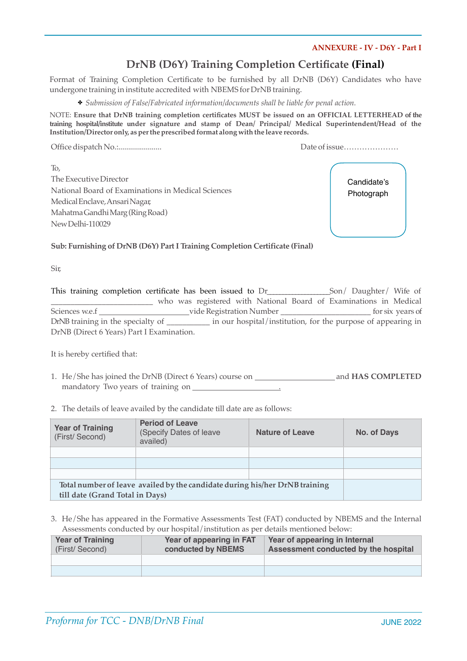### **ANNEXURE - IV - D6Y - Part I**

## **DrNB (D6Y) Training Completion Certificate (Final)**

Format of Training Completion Certificate to be furnished by all DrNB (D6Y) Candidates who have undergone training in institute accredited with NBEMS for DrNB training.

✤ *Submission of False/Fabricated information/documents shall be liable for penal action.*

NOTE: **Ensure that DrNB training completion certificates MUST be issued on an OFFICIAL LETTERHEAD of the training hospital/institute under signature and stamp of Dean/ Principal/ Medical Superintendent/Head of the Institution/Director only, as perthe prescribed format along with the leave records.**

Office dispatch No.:...................... Date ofissue…………………

To, The Executive Director National Board of Examinations in Medical Sciences MedicalEnclave,AnsariNagar, MahatmaGandhiMarg(RingRoad) NewDelhi-110029

Candidate's Photograph

**Sub: Furnishing of DrNB (D6Y) Part I Training Completion Certificate (Final)**

Sir,

| This training completion certificate has been issued to Dr |                                                                   |                                                              |  | Son/ Daughter/ Wife of |                  |
|------------------------------------------------------------|-------------------------------------------------------------------|--------------------------------------------------------------|--|------------------------|------------------|
|                                                            | who was registered with National Board of Examinations in Medical |                                                              |  |                        |                  |
| Sciences w.e.f                                             | vide Registration Number                                          |                                                              |  |                        | for six years of |
| DrNB training in the specialty of                          |                                                                   | in our hospital/institution, for the purpose of appearing in |  |                        |                  |
| DrNB (Direct 6 Years) Part I Examination.                  |                                                                   |                                                              |  |                        |                  |

It is hereby certified that:

- 1. He/She has joined the DrNB (Direct 6 Years) course on and **HAS COMPLETED**  mandatory Two years of training on .
- 2. The details of leave availed by the candidate till date are as follows:

| <b>Year of Training</b><br>(First/Second)                                   | <b>Period of Leave</b><br>(Specify Dates of leave<br>availed) | <b>Nature of Leave</b> | No. of Days |
|-----------------------------------------------------------------------------|---------------------------------------------------------------|------------------------|-------------|
|                                                                             |                                                               |                        |             |
|                                                                             |                                                               |                        |             |
|                                                                             |                                                               |                        |             |
| Total number of leave availed by the candidate during his/her DrNB training |                                                               |                        |             |
| till date (Grand Total in Days)                                             |                                                               |                        |             |

| <b>Year of Training</b><br>(First/Second) | Year of appearing in FAT<br>conducted by NBEMS | Year of appearing in Internal<br>Assessment conducted by the hospital |
|-------------------------------------------|------------------------------------------------|-----------------------------------------------------------------------|
|                                           |                                                |                                                                       |
|                                           |                                                |                                                                       |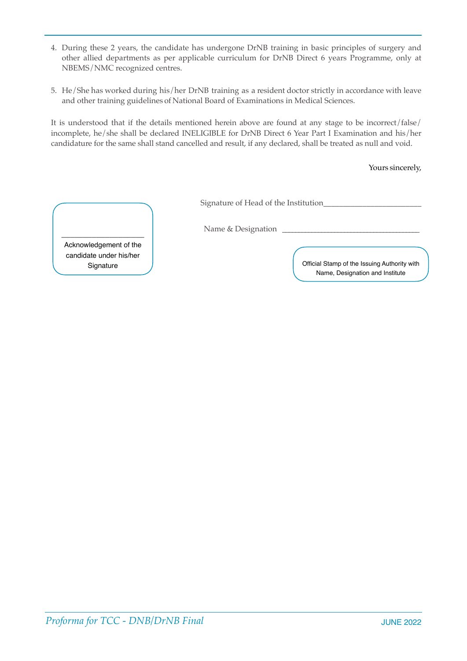- 4. During these 2 years, the candidate has undergone DrNB training in basic principles of surgery and other allied departments as per applicable curriculum for DrNB Direct 6 years Programme, only at NBEMS/NMC recognized centres.
- 5. He/She has worked during his/her DrNB training as a resident doctor strictly in accordance with leave and other training guidelines of National Board of Examinations in Medical Sciences.

It is understood that if the details mentioned herein above are found at any stage to be incorrect/false/ incomplete, he/she shall be declared INELIGIBLE for DrNB Direct 6 Year Part I Examination and his/her candidature for the same shall stand cancelled and result, if any declared, shall be treated as null and void.

Yours sincerely,

Signature of Head of the Institution\_\_\_\_\_\_\_\_\_\_\_\_\_\_\_\_\_\_\_\_\_\_\_\_\_

Name & Designation

Acknowledgement of the candidate under his/her

\_\_\_\_\_\_\_\_\_\_\_\_\_\_\_\_\_\_\_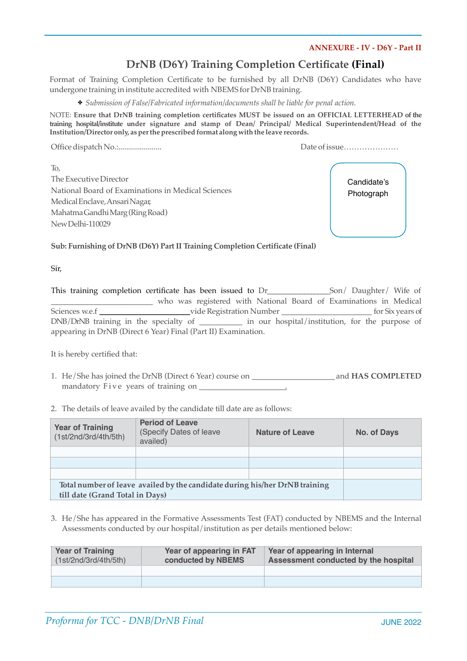### **ANNEXURE - IV - D6Y - Part II**

## **DrNB (D6Y) Training Completion Certificate (Final)**

Format of Training Completion Certificate to be furnished by all DrNB (D6Y) Candidates who have undergone training in institute accredited with NBEMS for DrNB training.

✤ *Submission of False/Fabricated information/documents shall be liable for penal action.*

NOTE: **Ensure that DrNB training completion certificates MUST be issued on an OFFICIAL LETTERHEAD of the training hospital/institute under signature and stamp of Dean/ Principal/ Medical Superintendent/Head of the Institution/Director only, as perthe prescribed format along with the leave records.**

Office dispatch No.:...................... Date ofissue…………………

To, The Executive Director National Board of Examinations in Medical Sciences MedicalEnclave,AnsariNagar, MahatmaGandhiMarg(RingRoad) NewDelhi-110029

Candidate's Photograph

**Sub: Furnishing of DrNB (D6Y) Part II Training Completion Certificate (Final)**

Sir,

|                | This training completion certificate has been issued to Dr                                         |                          | Son/ Daughter/ Wife of                                            |
|----------------|----------------------------------------------------------------------------------------------------|--------------------------|-------------------------------------------------------------------|
|                |                                                                                                    |                          | who was registered with National Board of Examinations in Medical |
| Sciences w.e.f |                                                                                                    | vide Registration Number | for Six years of                                                  |
|                | DNB/DrNB training in the specialty of ____________ in our hospital/institution, for the purpose of |                          |                                                                   |
|                | appearing in DrNB (Direct 6 Year) Final (Part II) Examination.                                     |                          |                                                                   |

It is hereby certified that:

- 1. He/She has joined the DrNB (Direct 6 Year) course on **All and HAS COMPLETED** mandatory Five years of training on .
- 2. The details of leave availed by the candidate till date are as follows:

| <b>Year of Training</b><br>(1st/2nd/3rd/4th/5th)                            | <b>Period of Leave</b><br>(Specify Dates of leave<br>availed) | <b>Nature of Leave</b> | No. of Days |
|-----------------------------------------------------------------------------|---------------------------------------------------------------|------------------------|-------------|
|                                                                             |                                                               |                        |             |
|                                                                             |                                                               |                        |             |
|                                                                             |                                                               |                        |             |
| Total number of leave availed by the candidate during his/her DrNB training |                                                               |                        |             |
| till date (Grand Total in Days)                                             |                                                               |                        |             |

| <b>Year of Training</b><br>(1st/2nd/3rd/4th/5th) | Year of appearing in FAT<br>conducted by NBEMS | Year of appearing in Internal<br>Assessment conducted by the hospital |
|--------------------------------------------------|------------------------------------------------|-----------------------------------------------------------------------|
|                                                  |                                                |                                                                       |
|                                                  |                                                |                                                                       |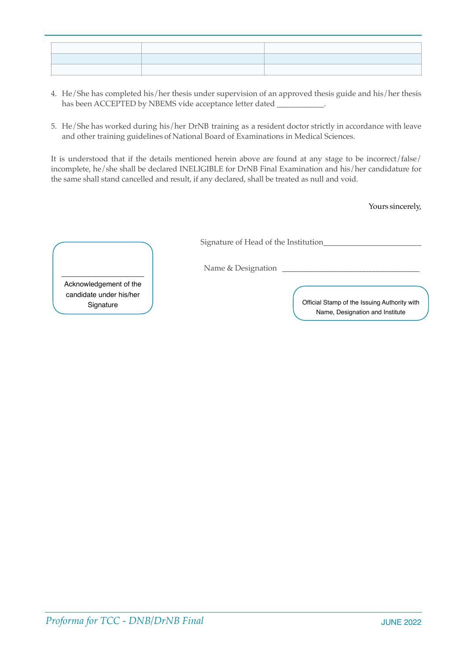- 4. He/She has completed his/her thesis under supervision of an approved thesis guide and his/her thesis has been ACCEPTED by NBEMS vide acceptance letter dated \_\_\_\_\_\_\_\_\_\_\_\_\_\_\_\_\_\_\_\_\_\_\_\_\_
- 5. He/She has worked during his/her DrNB training as a resident doctor strictly in accordance with leave and other training guidelines of National Board of Examinations in Medical Sciences.

It is understood that if the details mentioned herein above are found at any stage to be incorrect/false/ incomplete, he/she shall be declared INELIGIBLE for DrNB Final Examination and his/her candidature for the same shall stand cancelled and result, if any declared, shall be treated as null and void.

Yours sincerely,

Signature of Head of the Institution\_\_\_\_\_\_\_\_\_\_\_\_\_\_\_\_\_\_\_\_\_\_\_\_\_

Name & Designation

Acknowledgement of the candidate under his/her

\_\_\_\_\_\_\_\_\_\_\_\_\_\_\_\_\_\_\_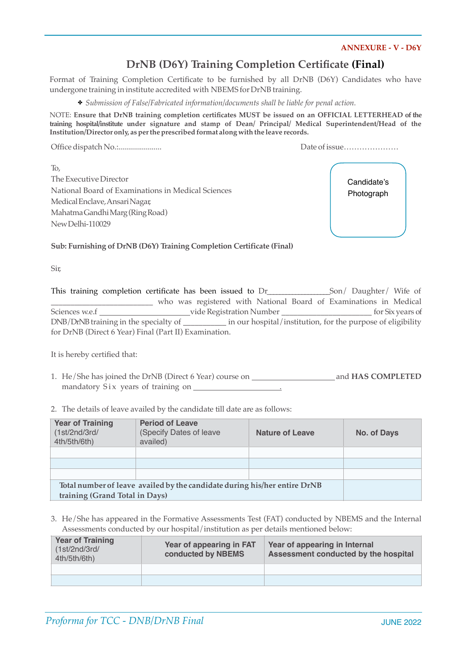### **ANNEXURE - V - D6Y**

# **DrNB (D6Y) Training Completion Certificate (Final)**

Format of Training Completion Certificate to be furnished by all DrNB (D6Y) Candidates who have undergone training in institute accredited with NBEMS for DrNB training.

✤ *Submission of False/Fabricated information/documents shall be liable for penal action.*

NOTE: **Ensure that DrNB training completion certificates MUST be issued on an OFFICIAL LETTERHEAD of the training hospital/institute under signature and stamp of Dean/ Principal/ Medical Superintendent/Head of the Institution/Director only, as perthe prescribed format along with the leave records.**

Office dispatch No.:...................... Date ofissue…………………

To, The Executive Director National Board of Examinations in Medical Sciences MedicalEnclave,AnsariNagar, MahatmaGandhiMarg(RingRoad) NewDelhi-110029

Candidate's Photograph

**Sub: Furnishing of DrNB (D6Y) Training Completion Certificate (Final)**

Sir,

|                | This training completion certificate has been issued to Dr |                          | Son/ Daughter/ Wife of                                            |
|----------------|------------------------------------------------------------|--------------------------|-------------------------------------------------------------------|
|                |                                                            |                          | who was registered with National Board of Examinations in Medical |
| Sciences w.e.f |                                                            | vide Registration Number | for Six years of                                                  |
|                | DNB/DrNB training in the specialty of __________           |                          | in our hospital/institution, for the purpose of eligibility       |
|                | for DrNB (Direct 6 Year) Final (Part II) Examination.      |                          |                                                                   |

It is hereby certified that:

- 1. He/She has joined the DrNB (Direct 6 Year) course on and **HAS COMPLETED**  mandatory Six years of training on  $\sqrt{ }$
- 2. The details of leave availed by the candidate till date are as follows:

| <b>Year of Training</b><br>(1st/2nd/3rd/<br>4th/5th/6th)                  | <b>Period of Leave</b><br>(Specify Dates of leave<br>availed) | <b>Nature of Leave</b> | No. of Days |
|---------------------------------------------------------------------------|---------------------------------------------------------------|------------------------|-------------|
|                                                                           |                                                               |                        |             |
|                                                                           |                                                               |                        |             |
|                                                                           |                                                               |                        |             |
| Total number of leave availed by the candidate during his/her entire DrNB |                                                               |                        |             |
| training (Grand Total in Days)                                            |                                                               |                        |             |

| <b>Year of Training</b><br>(1st/2nd/3rd/<br>4th/5th/6th) | Year of appearing in FAT<br>conducted by NBEMS | Year of appearing in Internal<br>Assessment conducted by the hospital |
|----------------------------------------------------------|------------------------------------------------|-----------------------------------------------------------------------|
|                                                          |                                                |                                                                       |
|                                                          |                                                |                                                                       |